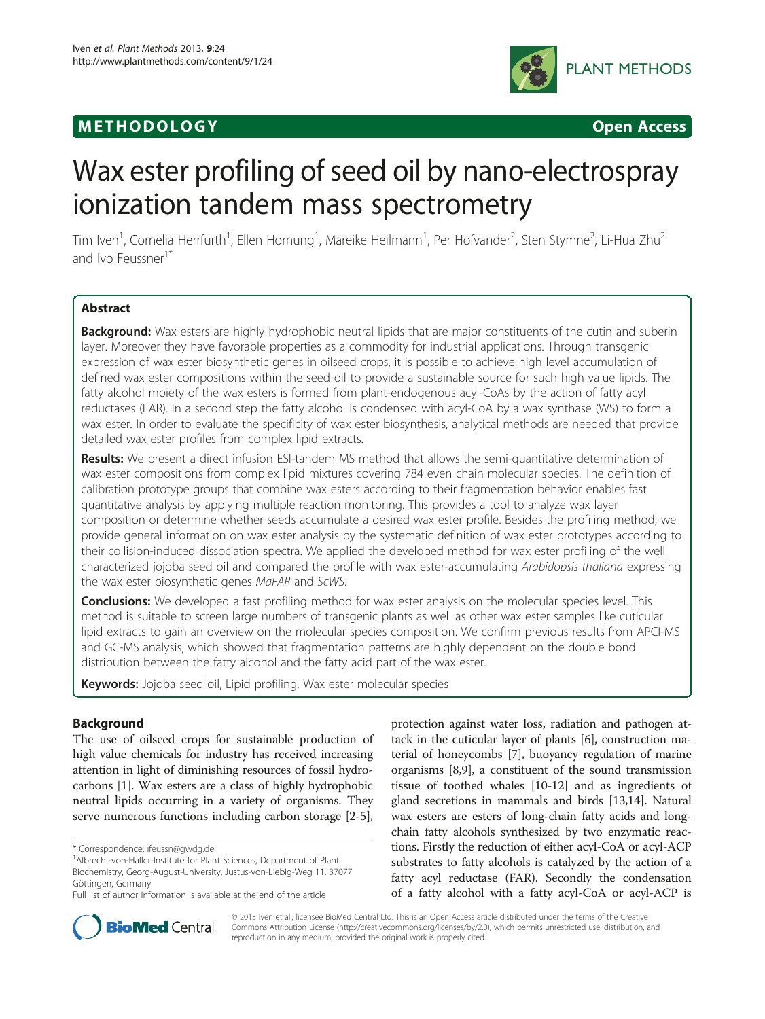# **METHODOLOGY CONSUMING ACCESS**



# Wax ester profiling of seed oil by nano-electrospray ionization tandem mass spectrometry

Tim Iven<sup>1</sup>, Cornelia Herrfurth<sup>1</sup>, Ellen Hornung<sup>1</sup>, Mareike Heilmann<sup>1</sup>, Per Hofvander<sup>2</sup>, Sten Stymne<sup>2</sup>, Li-Hua Zhu<sup>2</sup> and Ivo Feussner<sup>1\*</sup>

# **Abstract**

Background: Wax esters are highly hydrophobic neutral lipids that are major constituents of the cutin and suberin layer. Moreover they have favorable properties as a commodity for industrial applications. Through transgenic expression of wax ester biosynthetic genes in oilseed crops, it is possible to achieve high level accumulation of defined wax ester compositions within the seed oil to provide a sustainable source for such high value lipids. The fatty alcohol moiety of the wax esters is formed from plant-endogenous acyl-CoAs by the action of fatty acyl reductases (FAR). In a second step the fatty alcohol is condensed with acyl-CoA by a wax synthase (WS) to form a wax ester. In order to evaluate the specificity of wax ester biosynthesis, analytical methods are needed that provide detailed wax ester profiles from complex lipid extracts.

Results: We present a direct infusion ESI-tandem MS method that allows the semi-quantitative determination of wax ester compositions from complex lipid mixtures covering 784 even chain molecular species. The definition of calibration prototype groups that combine wax esters according to their fragmentation behavior enables fast quantitative analysis by applying multiple reaction monitoring. This provides a tool to analyze wax layer composition or determine whether seeds accumulate a desired wax ester profile. Besides the profiling method, we provide general information on wax ester analysis by the systematic definition of wax ester prototypes according to their collision-induced dissociation spectra. We applied the developed method for wax ester profiling of the well characterized jojoba seed oil and compared the profile with wax ester-accumulating Arabidopsis thaliana expressing the wax ester biosynthetic genes MaFAR and ScWS.

**Conclusions:** We developed a fast profiling method for wax ester analysis on the molecular species level. This method is suitable to screen large numbers of transgenic plants as well as other wax ester samples like cuticular lipid extracts to gain an overview on the molecular species composition. We confirm previous results from APCI-MS and GC-MS analysis, which showed that fragmentation patterns are highly dependent on the double bond distribution between the fatty alcohol and the fatty acid part of the wax ester.

Keywords: Jojoba seed oil, Lipid profiling, Wax ester molecular species

# Background

The use of oilseed crops for sustainable production of high value chemicals for industry has received increasing attention in light of diminishing resources of fossil hydrocarbons [\[1](#page-11-0)]. Wax esters are a class of highly hydrophobic neutral lipids occurring in a variety of organisms. They serve numerous functions including carbon storage [\[2](#page-11-0)-[5](#page-11-0)],

protection against water loss, radiation and pathogen attack in the cuticular layer of plants [\[6](#page-12-0)], construction material of honeycombs [\[7](#page-12-0)], buoyancy regulation of marine organisms [[8](#page-12-0),[9](#page-12-0)], a constituent of the sound transmission tissue of toothed whales [[10](#page-12-0)-[12](#page-12-0)] and as ingredients of gland secretions in mammals and birds [\[13,14\]](#page-12-0). Natural wax esters are esters of long-chain fatty acids and longchain fatty alcohols synthesized by two enzymatic reactions. Firstly the reduction of either acyl-CoA or acyl-ACP substrates to fatty alcohols is catalyzed by the action of a fatty acyl reductase (FAR). Secondly the condensation of a fatty alcohol with a fatty acyl-CoA or acyl-ACP is



© 2013 Iven et al.; licensee BioMed Central Ltd. This is an Open Access article distributed under the terms of the Creative Commons Attribution License [\(http://creativecommons.org/licenses/by/2.0\)](http://creativecommons.org/licenses/by/2.0), which permits unrestricted use, distribution, and reproduction in any medium, provided the original work is properly cited.

<sup>\*</sup> Correspondence: [ifeussn@gwdg.de](mailto:ifeussn@gwdg.de) <sup>1</sup>

<sup>&</sup>lt;sup>1</sup> Albrecht-von-Haller-Institute for Plant Sciences, Department of Plant Biochemistry, Georg-August-University, Justus-von-Liebig-Weg 11, 37077 Göttingen, Germany

Full list of author information is available at the end of the article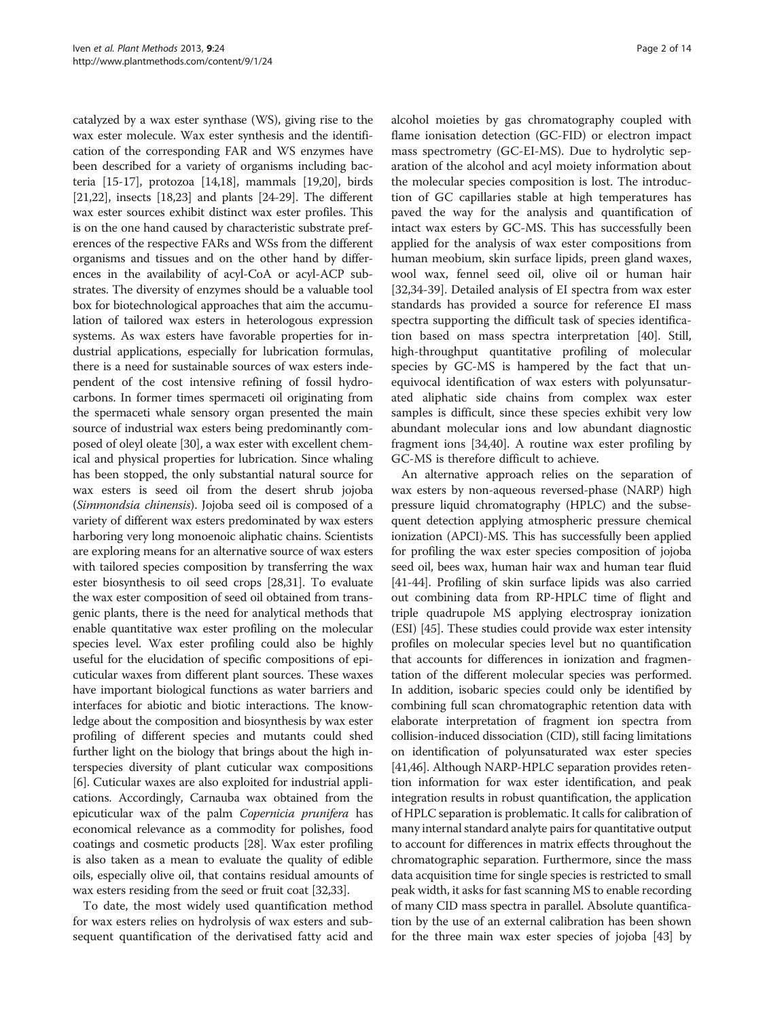catalyzed by a wax ester synthase (WS), giving rise to the wax ester molecule. Wax ester synthesis and the identification of the corresponding FAR and WS enzymes have been described for a variety of organisms including bacteria [[15](#page-12-0)-[17\]](#page-12-0), protozoa [[14,18](#page-12-0)], mammals [[19](#page-12-0),[20](#page-12-0)], birds [[21,22](#page-12-0)], insects [\[18,23](#page-12-0)] and plants [\[24-29](#page-12-0)]. The different wax ester sources exhibit distinct wax ester profiles. This is on the one hand caused by characteristic substrate preferences of the respective FARs and WSs from the different organisms and tissues and on the other hand by differences in the availability of acyl-CoA or acyl-ACP substrates. The diversity of enzymes should be a valuable tool box for biotechnological approaches that aim the accumulation of tailored wax esters in heterologous expression systems. As wax esters have favorable properties for industrial applications, especially for lubrication formulas, there is a need for sustainable sources of wax esters independent of the cost intensive refining of fossil hydrocarbons. In former times spermaceti oil originating from the spermaceti whale sensory organ presented the main source of industrial wax esters being predominantly composed of oleyl oleate [\[30\]](#page-12-0), a wax ester with excellent chemical and physical properties for lubrication. Since whaling has been stopped, the only substantial natural source for wax esters is seed oil from the desert shrub jojoba (Simmondsia chinensis). Jojoba seed oil is composed of a variety of different wax esters predominated by wax esters harboring very long monoenoic aliphatic chains. Scientists are exploring means for an alternative source of wax esters with tailored species composition by transferring the wax ester biosynthesis to oil seed crops [\[28,31](#page-12-0)]. To evaluate the wax ester composition of seed oil obtained from transgenic plants, there is the need for analytical methods that enable quantitative wax ester profiling on the molecular species level. Wax ester profiling could also be highly useful for the elucidation of specific compositions of epicuticular waxes from different plant sources. These waxes have important biological functions as water barriers and interfaces for abiotic and biotic interactions. The knowledge about the composition and biosynthesis by wax ester profiling of different species and mutants could shed further light on the biology that brings about the high interspecies diversity of plant cuticular wax compositions [[6\]](#page-12-0). Cuticular waxes are also exploited for industrial applications. Accordingly, Carnauba wax obtained from the epicuticular wax of the palm Copernicia prunifera has economical relevance as a commodity for polishes, food coatings and cosmetic products [[28](#page-12-0)]. Wax ester profiling is also taken as a mean to evaluate the quality of edible oils, especially olive oil, that contains residual amounts of wax esters residing from the seed or fruit coat [[32,33](#page-12-0)].

To date, the most widely used quantification method for wax esters relies on hydrolysis of wax esters and subsequent quantification of the derivatised fatty acid and

alcohol moieties by gas chromatography coupled with flame ionisation detection (GC-FID) or electron impact mass spectrometry (GC-EI-MS). Due to hydrolytic separation of the alcohol and acyl moiety information about the molecular species composition is lost. The introduction of GC capillaries stable at high temperatures has paved the way for the analysis and quantification of intact wax esters by GC-MS. This has successfully been applied for the analysis of wax ester compositions from human meobium, skin surface lipids, preen gland waxes, wool wax, fennel seed oil, olive oil or human hair [[32,34-39\]](#page-12-0). Detailed analysis of EI spectra from wax ester standards has provided a source for reference EI mass spectra supporting the difficult task of species identification based on mass spectra interpretation [\[40](#page-12-0)]. Still, high-throughput quantitative profiling of molecular species by GC-MS is hampered by the fact that unequivocal identification of wax esters with polyunsaturated aliphatic side chains from complex wax ester samples is difficult, since these species exhibit very low abundant molecular ions and low abundant diagnostic fragment ions [[34,40\]](#page-12-0). A routine wax ester profiling by GC-MS is therefore difficult to achieve.

An alternative approach relies on the separation of wax esters by non-aqueous reversed-phase (NARP) high pressure liquid chromatography (HPLC) and the subsequent detection applying atmospheric pressure chemical ionization (APCI)-MS. This has successfully been applied for profiling the wax ester species composition of jojoba seed oil, bees wax, human hair wax and human tear fluid [[41](#page-12-0)-[44\]](#page-12-0). Profiling of skin surface lipids was also carried out combining data from RP-HPLC time of flight and triple quadrupole MS applying electrospray ionization (ESI) [[45](#page-12-0)]. These studies could provide wax ester intensity profiles on molecular species level but no quantification that accounts for differences in ionization and fragmentation of the different molecular species was performed. In addition, isobaric species could only be identified by combining full scan chromatographic retention data with elaborate interpretation of fragment ion spectra from collision-induced dissociation (CID), still facing limitations on identification of polyunsaturated wax ester species [[41](#page-12-0),[46](#page-12-0)]. Although NARP-HPLC separation provides retention information for wax ester identification, and peak integration results in robust quantification, the application of HPLC separation is problematic. It calls for calibration of many internal standard analyte pairs for quantitative output to account for differences in matrix effects throughout the chromatographic separation. Furthermore, since the mass data acquisition time for single species is restricted to small peak width, it asks for fast scanning MS to enable recording of many CID mass spectra in parallel. Absolute quantification by the use of an external calibration has been shown for the three main wax ester species of jojoba [[43](#page-12-0)] by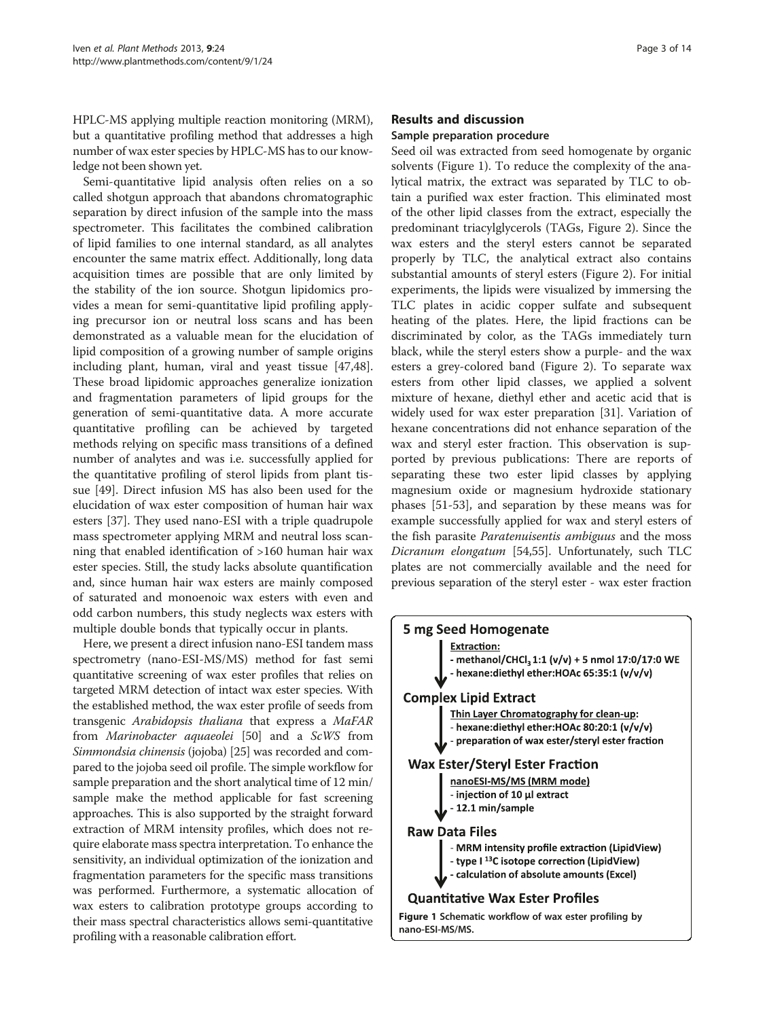HPLC-MS applying multiple reaction monitoring (MRM), but a quantitative profiling method that addresses a high number of wax ester species by HPLC-MS has to our knowledge not been shown yet.

Semi-quantitative lipid analysis often relies on a so called shotgun approach that abandons chromatographic separation by direct infusion of the sample into the mass spectrometer. This facilitates the combined calibration of lipid families to one internal standard, as all analytes encounter the same matrix effect. Additionally, long data acquisition times are possible that are only limited by the stability of the ion source. Shotgun lipidomics provides a mean for semi-quantitative lipid profiling applying precursor ion or neutral loss scans and has been demonstrated as a valuable mean for the elucidation of lipid composition of a growing number of sample origins including plant, human, viral and yeast tissue [\[47,48](#page-12-0)]. These broad lipidomic approaches generalize ionization and fragmentation parameters of lipid groups for the generation of semi-quantitative data. A more accurate quantitative profiling can be achieved by targeted methods relying on specific mass transitions of a defined number of analytes and was i.e. successfully applied for the quantitative profiling of sterol lipids from plant tissue [\[49\]](#page-12-0). Direct infusion MS has also been used for the elucidation of wax ester composition of human hair wax esters [\[37](#page-12-0)]. They used nano-ESI with a triple quadrupole mass spectrometer applying MRM and neutral loss scanning that enabled identification of >160 human hair wax ester species. Still, the study lacks absolute quantification and, since human hair wax esters are mainly composed of saturated and monoenoic wax esters with even and odd carbon numbers, this study neglects wax esters with multiple double bonds that typically occur in plants.

Here, we present a direct infusion nano-ESI tandem mass spectrometry (nano-ESI-MS/MS) method for fast semi quantitative screening of wax ester profiles that relies on targeted MRM detection of intact wax ester species. With the established method, the wax ester profile of seeds from transgenic Arabidopsis thaliana that express a MaFAR from Marinobacter aquaeolei [\[50\]](#page-12-0) and a ScWS from Simmondsia chinensis (jojoba) [\[25\]](#page-12-0) was recorded and compared to the jojoba seed oil profile. The simple workflow for sample preparation and the short analytical time of 12 min/ sample make the method applicable for fast screening approaches. This is also supported by the straight forward extraction of MRM intensity profiles, which does not require elaborate mass spectra interpretation. To enhance the sensitivity, an individual optimization of the ionization and fragmentation parameters for the specific mass transitions was performed. Furthermore, a systematic allocation of wax esters to calibration prototype groups according to their mass spectral characteristics allows semi-quantitative profiling with a reasonable calibration effort.

# Results and discussion

# Sample preparation procedure

Seed oil was extracted from seed homogenate by organic solvents (Figure 1). To reduce the complexity of the analytical matrix, the extract was separated by TLC to obtain a purified wax ester fraction. This eliminated most of the other lipid classes from the extract, especially the predominant triacylglycerols (TAGs, Figure [2\)](#page-3-0). Since the wax esters and the steryl esters cannot be separated properly by TLC, the analytical extract also contains substantial amounts of steryl esters (Figure [2\)](#page-3-0). For initial experiments, the lipids were visualized by immersing the TLC plates in acidic copper sulfate and subsequent heating of the plates. Here, the lipid fractions can be discriminated by color, as the TAGs immediately turn black, while the steryl esters show a purple- and the wax esters a grey-colored band (Figure [2](#page-3-0)). To separate wax esters from other lipid classes, we applied a solvent mixture of hexane, diethyl ether and acetic acid that is widely used for wax ester preparation [\[31](#page-12-0)]. Variation of hexane concentrations did not enhance separation of the wax and steryl ester fraction. This observation is supported by previous publications: There are reports of separating these two ester lipid classes by applying magnesium oxide or magnesium hydroxide stationary phases [\[51-](#page-12-0)[53](#page-13-0)], and separation by these means was for example successfully applied for wax and steryl esters of the fish parasite Paratenuisentis ambiguus and the moss Dicranum elongatum [\[54,55](#page-13-0)]. Unfortunately, such TLC plates are not commercially available and the need for previous separation of the steryl ester - wax ester fraction



nano-ESI-MS/MS.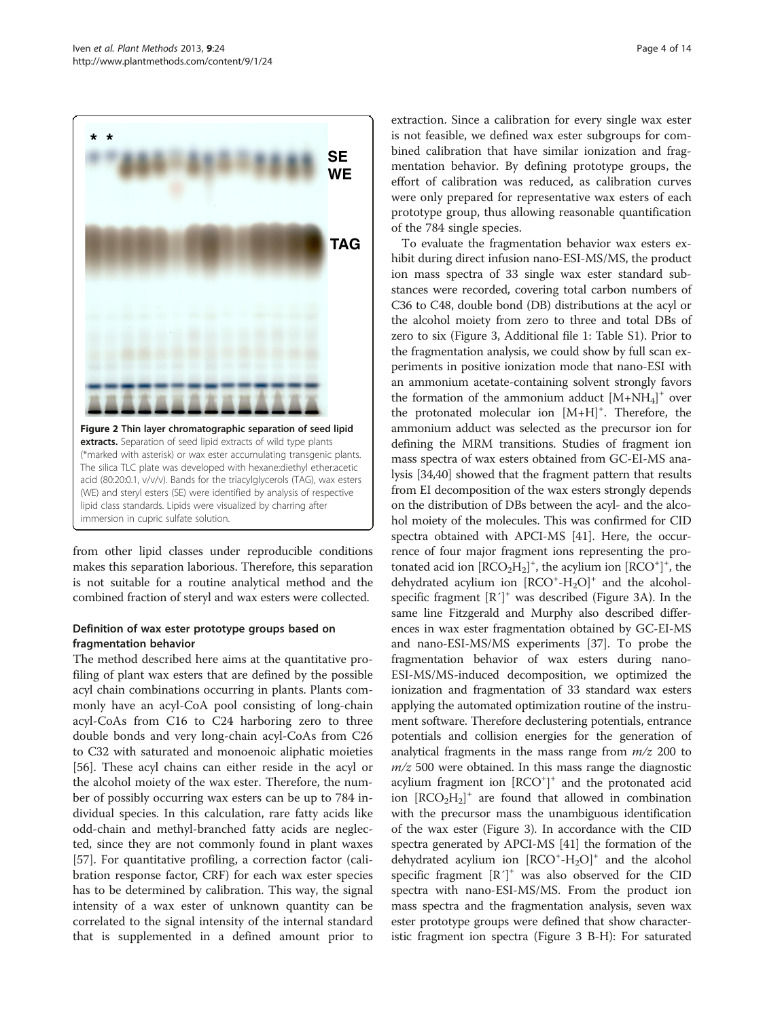<span id="page-3-0"></span>

from other lipid classes under reproducible conditions makes this separation laborious. Therefore, this separation is not suitable for a routine analytical method and the combined fraction of steryl and wax esters were collected.

# Definition of wax ester prototype groups based on fragmentation behavior

immersion in cupric sulfate solution.

The method described here aims at the quantitative profiling of plant wax esters that are defined by the possible acyl chain combinations occurring in plants. Plants commonly have an acyl-CoA pool consisting of long-chain acyl-CoAs from C16 to C24 harboring zero to three double bonds and very long-chain acyl-CoAs from C26 to C32 with saturated and monoenoic aliphatic moieties [[56\]](#page-13-0). These acyl chains can either reside in the acyl or the alcohol moiety of the wax ester. Therefore, the number of possibly occurring wax esters can be up to 784 individual species. In this calculation, rare fatty acids like odd-chain and methyl-branched fatty acids are neglected, since they are not commonly found in plant waxes [[57\]](#page-13-0). For quantitative profiling, a correction factor (calibration response factor, CRF) for each wax ester species has to be determined by calibration. This way, the signal intensity of a wax ester of unknown quantity can be correlated to the signal intensity of the internal standard that is supplemented in a defined amount prior to

extraction. Since a calibration for every single wax ester is not feasible, we defined wax ester subgroups for combined calibration that have similar ionization and fragmentation behavior. By defining prototype groups, the effort of calibration was reduced, as calibration curves were only prepared for representative wax esters of each prototype group, thus allowing reasonable quantification of the 784 single species.

To evaluate the fragmentation behavior wax esters exhibit during direct infusion nano-ESI-MS/MS, the product ion mass spectra of 33 single wax ester standard substances were recorded, covering total carbon numbers of C36 to C48, double bond (DB) distributions at the acyl or the alcohol moiety from zero to three and total DBs of zero to six (Figure [3](#page-4-0), Additional file [1](#page-11-0): Table S1). Prior to the fragmentation analysis, we could show by full scan experiments in positive ionization mode that nano-ESI with an ammonium acetate-containing solvent strongly favors the formation of the ammonium adduct  $[M+NH_4]^+$  over the protonated molecular ion  $[M+H]^{+}$ . Therefore, the ammonium adduct was selected as the precursor ion for defining the MRM transitions. Studies of fragment ion mass spectra of wax esters obtained from GC-EI-MS analysis [\[34,40\]](#page-12-0) showed that the fragment pattern that results from EI decomposition of the wax esters strongly depends on the distribution of DBs between the acyl- and the alcohol moiety of the molecules. This was confirmed for CID spectra obtained with APCI-MS [\[41](#page-12-0)]. Here, the occurrence of four major fragment ions representing the protonated acid ion  $[\text{RCO}_2\text{H}_2]^+$ , the acylium ion  $[\text{RCO}^+]^+$ , the dehydrated acylium ion  $[RCO^+ - H_2O]^+$  and the alcoholspecific fragment  $[R']^+$  was described (Figure [3](#page-4-0)A). In the same line Fitzgerald and Murphy also described differences in wax ester fragmentation obtained by GC-EI-MS and nano-ESI-MS/MS experiments [\[37\]](#page-12-0). To probe the fragmentation behavior of wax esters during nano-ESI-MS/MS-induced decomposition, we optimized the ionization and fragmentation of 33 standard wax esters applying the automated optimization routine of the instrument software. Therefore declustering potentials, entrance potentials and collision energies for the generation of analytical fragments in the mass range from  $m/z$  200 to  $m/z$  500 were obtained. In this mass range the diagnostic acylium fragment ion [RCO<sup>+</sup>]<sup>+</sup> and the protonated acid ion  $[RCO<sub>2</sub>H<sub>2</sub>]<sup>+</sup>$  are found that allowed in combination with the precursor mass the unambiguous identification of the wax ester (Figure [3](#page-4-0)). In accordance with the CID spectra generated by APCI-MS [[41](#page-12-0)] the formation of the dehydrated acylium ion  $[RCO^+ - H_2O]^+$  and the alcohol specific fragment  $[R']^+$  was also observed for the CID spectra with nano-ESI-MS/MS. From the product ion mass spectra and the fragmentation analysis, seven wax ester prototype groups were defined that show characteristic fragment ion spectra (Figure [3](#page-4-0) B-H): For saturated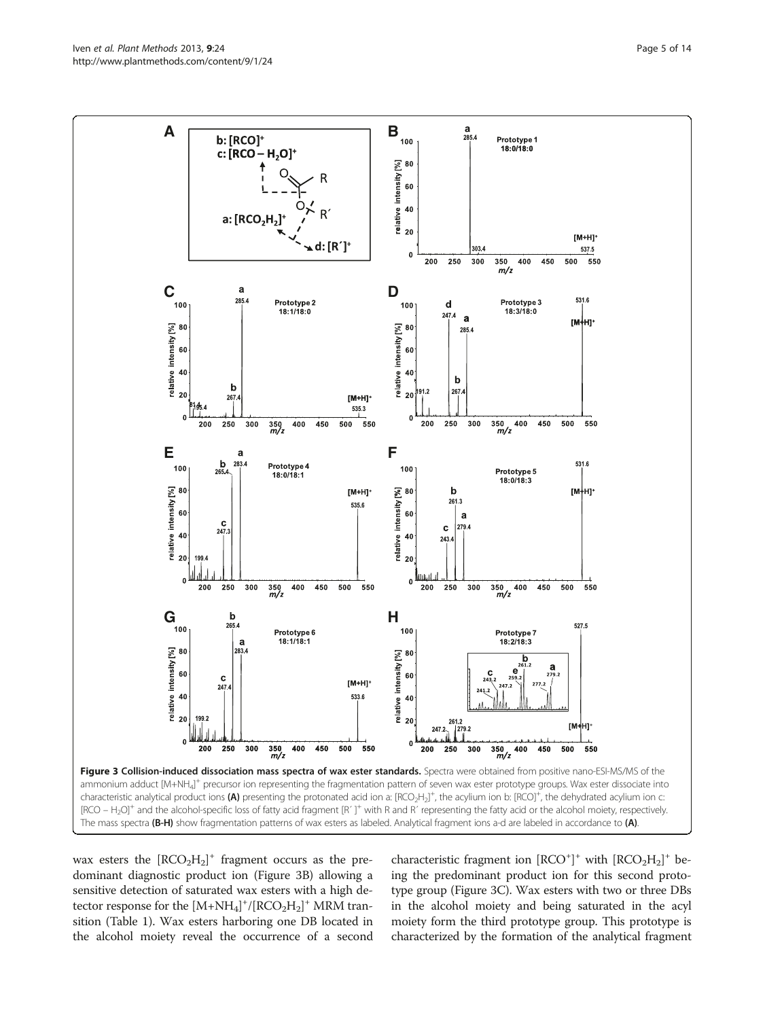<span id="page-4-0"></span>Iven et al. Plant Methods 2013, 9:24 Page 5 of 14 http://www.plantmethods.com/content/9/1/24



wax esters the  $[RCO<sub>2</sub>H<sub>2</sub>]<sup>+</sup>$  fragment occurs as the predominant diagnostic product ion (Figure 3B) allowing a sensitive detection of saturated wax esters with a high detector response for the  $[M+NH_4]^+/[RCO_2H_2]^+$  MRM transition (Table [1\)](#page-6-0). Wax esters harboring one DB located in the alcohol moiety reveal the occurrence of a second characteristic fragment ion  $[RCO^+]^+$  with  $[RCO_2H_2]^+$  being the predominant product ion for this second prototype group (Figure 3C). Wax esters with two or three DBs in the alcohol moiety and being saturated in the acyl moiety form the third prototype group. This prototype is characterized by the formation of the analytical fragment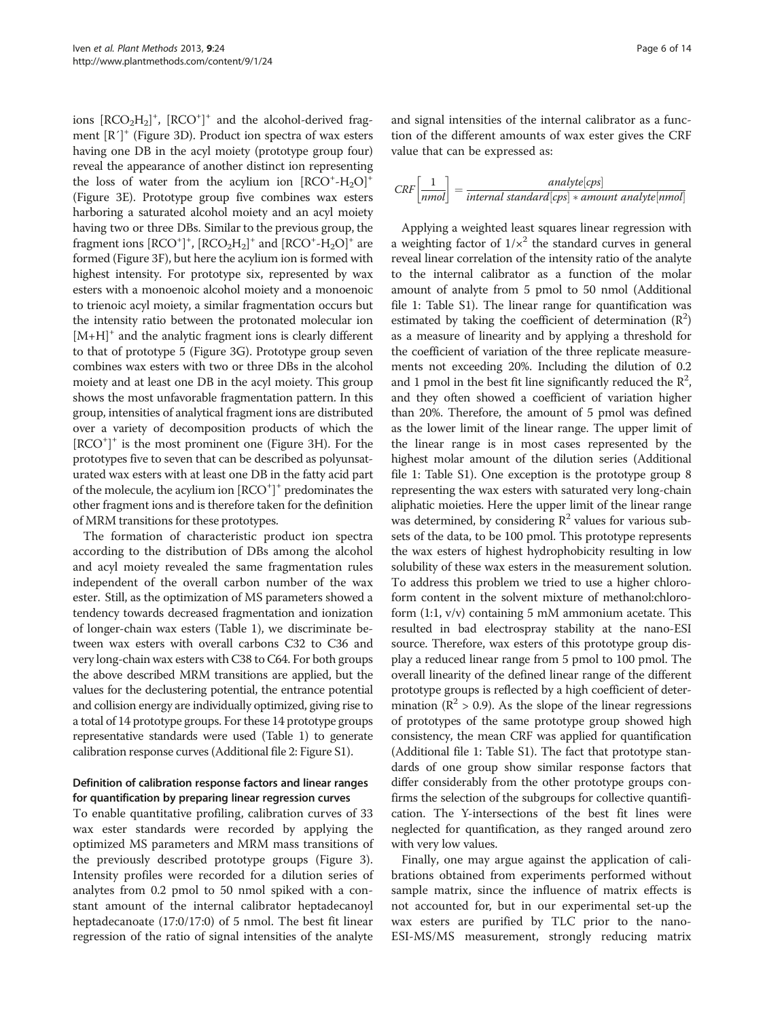ions  $[RCO<sub>2</sub>H<sub>2</sub>]<sup>+</sup>$ ,  $[RCO<sup>+</sup>]<sup>+</sup>$  and the alcohol-derived fragment  $[R']^+$  (Figure [3](#page-4-0)D). Product ion spectra of wax esters having one DB in the acyl moiety (prototype group four) reveal the appearance of another distinct ion representing the loss of water from the acylium ion  $[RCO^+ - H_2O]^+$ (Figure [3](#page-4-0)E). Prototype group five combines wax esters harboring a saturated alcohol moiety and an acyl moiety having two or three DBs. Similar to the previous group, the fragment ions  $[\text{RCO}^+]^+$ ,  $[\text{RCO}_2\text{H}_2]^+$  and  $[\text{RCO}^+\text{-}\text{H}_2\text{O}]^+$  are formed (Figure [3](#page-4-0)F), but here the acylium ion is formed with highest intensity. For prototype six, represented by wax esters with a monoenoic alcohol moiety and a monoenoic to trienoic acyl moiety, a similar fragmentation occurs but the intensity ratio between the protonated molecular ion  $[M+H]^+$  and the analytic fragment ions is clearly different to that of prototype 5 (Figure [3G](#page-4-0)). Prototype group seven combines wax esters with two or three DBs in the alcohol moiety and at least one DB in the acyl moiety. This group shows the most unfavorable fragmentation pattern. In this group, intensities of analytical fragment ions are distributed over a variety of decomposition products of which the [RCO+ ] <sup>+</sup> is the most prominent one (Figure [3H](#page-4-0)). For the prototypes five to seven that can be described as polyunsaturated wax esters with at least one DB in the fatty acid part of the molecule, the acylium ion  $[RCO<sup>+</sup>]$ <sup>+</sup> predominates the other fragment ions and is therefore taken for the definition of MRM transitions for these prototypes.

The formation of characteristic product ion spectra according to the distribution of DBs among the alcohol and acyl moiety revealed the same fragmentation rules independent of the overall carbon number of the wax ester. Still, as the optimization of MS parameters showed a tendency towards decreased fragmentation and ionization of longer-chain wax esters (Table [1](#page-6-0)), we discriminate between wax esters with overall carbons C32 to C36 and very long-chain wax esters with C38 to C64. For both groups the above described MRM transitions are applied, but the values for the declustering potential, the entrance potential and collision energy are individually optimized, giving rise to a total of 14 prototype groups. For these 14 prototype groups representative standards were used (Table [1](#page-6-0)) to generate calibration response curves (Additional file [2:](#page-11-0) Figure S1).

# Definition of calibration response factors and linear ranges for quantification by preparing linear regression curves

To enable quantitative profiling, calibration curves of 33 wax ester standards were recorded by applying the optimized MS parameters and MRM mass transitions of the previously described prototype groups (Figure [3](#page-4-0)). Intensity profiles were recorded for a dilution series of analytes from 0.2 pmol to 50 nmol spiked with a constant amount of the internal calibrator heptadecanoyl heptadecanoate (17:0/17:0) of 5 nmol. The best fit linear regression of the ratio of signal intensities of the analyte

and signal intensities of the internal calibrator as a function of the different amounts of wax ester gives the CRF value that can be expressed as:

$$
CRF\left[\frac{1}{mmol}\right] = \frac{analyte[cps]}{internal\ standard[cps] * amount\ analytic[nmol]}
$$

Applying a weighted least squares linear regression with a weighting factor of  $1/x^2$  the standard curves in general reveal linear correlation of the intensity ratio of the analyte to the internal calibrator as a function of the molar amount of analyte from 5 pmol to 50 nmol (Additional file [1:](#page-11-0) Table S1). The linear range for quantification was estimated by taking the coefficient of determination  $(R^2)$ as a measure of linearity and by applying a threshold for the coefficient of variation of the three replicate measurements not exceeding 20%. Including the dilution of 0.2 and 1 pmol in the best fit line significantly reduced the  $\mathbb{R}^2$ , and they often showed a coefficient of variation higher than 20%. Therefore, the amount of 5 pmol was defined as the lower limit of the linear range. The upper limit of the linear range is in most cases represented by the highest molar amount of the dilution series (Additional file [1](#page-11-0): Table S1). One exception is the prototype group 8 representing the wax esters with saturated very long-chain aliphatic moieties. Here the upper limit of the linear range was determined, by considering  $\mathbb{R}^2$  values for various subsets of the data, to be 100 pmol. This prototype represents the wax esters of highest hydrophobicity resulting in low solubility of these wax esters in the measurement solution. To address this problem we tried to use a higher chloroform content in the solvent mixture of methanol:chloroform (1:1, v/v) containing 5 mM ammonium acetate. This resulted in bad electrospray stability at the nano-ESI source. Therefore, wax esters of this prototype group display a reduced linear range from 5 pmol to 100 pmol. The overall linearity of the defined linear range of the different prototype groups is reflected by a high coefficient of determination ( $\mathbb{R}^2$  > 0.9). As the slope of the linear regressions of prototypes of the same prototype group showed high consistency, the mean CRF was applied for quantification (Additional file [1](#page-11-0): Table S1). The fact that prototype standards of one group show similar response factors that differ considerably from the other prototype groups confirms the selection of the subgroups for collective quantification. The Y-intersections of the best fit lines were neglected for quantification, as they ranged around zero with very low values.

Finally, one may argue against the application of calibrations obtained from experiments performed without sample matrix, since the influence of matrix effects is not accounted for, but in our experimental set-up the wax esters are purified by TLC prior to the nano-ESI-MS/MS measurement, strongly reducing matrix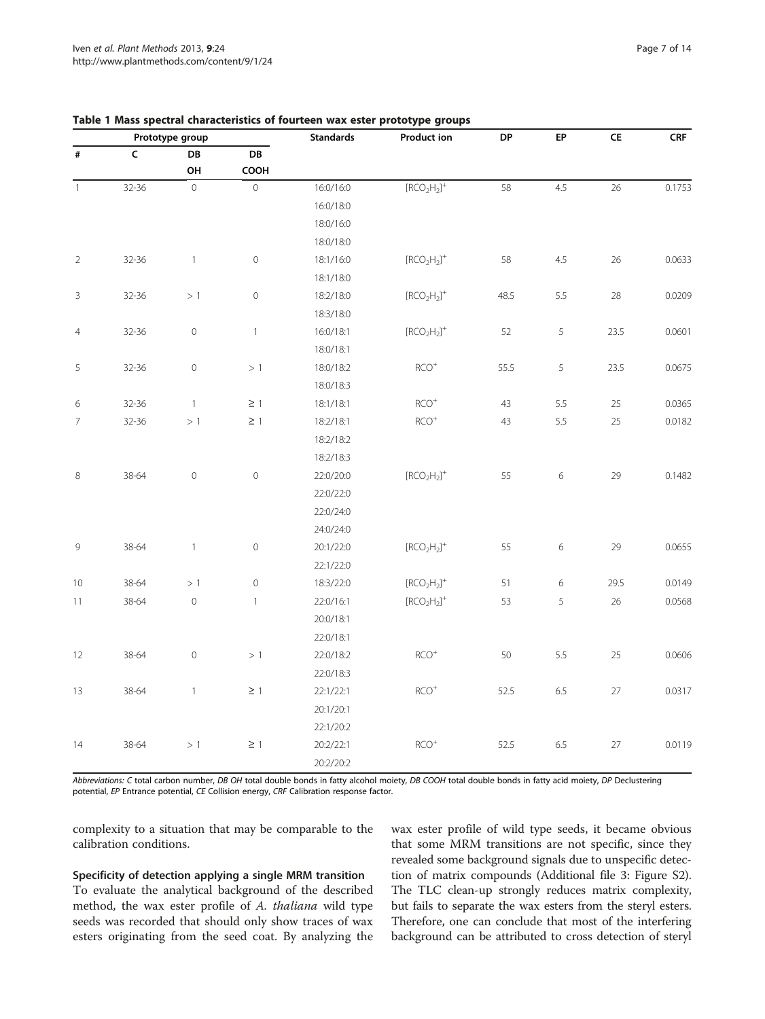| Prototype group |       |                     |                     | <b>Standards</b> | <b>Product ion</b>               | DP   | EP             | ${\sf CE}$ | CRF    |
|-----------------|-------|---------------------|---------------------|------------------|----------------------------------|------|----------------|------------|--------|
| $\#$            | C     | DB<br>OH            | DB<br>COOH          |                  |                                  |      |                |            |        |
|                 |       |                     |                     |                  |                                  |      |                |            |        |
|                 |       |                     | 16:0/18:0           |                  |                                  |      |                |            |        |
|                 |       |                     | 18:0/16:0           |                  |                                  |      |                |            |        |
|                 |       |                     | 18:0/18:0           |                  |                                  |      |                |            |        |
| $\overline{2}$  | 32-36 | $\overline{1}$      | $\mathsf{O}\xspace$ | 18:1/16:0        | $[RCO2H2]+$                      | 58   | 4.5            | 26         | 0.0633 |
|                 |       |                     |                     | 18:1/18:0        |                                  |      |                |            |        |
| $\mathsf 3$     | 32-36 | >1                  | $\mathsf{O}\xspace$ | 18:2/18:0        | $[RCO2H2]+$                      | 48.5 | 5.5            | 28         | 0.0209 |
|                 |       |                     |                     | 18:3/18:0        |                                  |      |                |            |        |
| $\overline{4}$  | 32-36 | $\,0\,$             | $\mathbf{1}$        | 16:0/18:1        | $[RCO2H2]+$                      | 52   | $\overline{5}$ | 23.5       | 0.0601 |
|                 |       |                     |                     | 18:0/18:1        |                                  |      |                |            |        |
| 5               | 32-36 | $\mathsf{O}\xspace$ | >1                  | 18:0/18:2        | $RCO+$                           | 55.5 | 5              | 23.5       | 0.0675 |
|                 |       |                     |                     | 18:0/18:3        |                                  |      |                |            |        |
| $\,$ 6 $\,$     | 32-36 | $\overline{1}$      | $\geq$ 1            | 18:1/18:1        | $RCO+$                           | 43   | 5.5            | 25         | 0.0365 |
| $\overline{7}$  | 32-36 | >1                  | $\geq$ 1            | 18:2/18:1        | $RCO+$                           | 43   | 5.5            | 25         | 0.0182 |
|                 |       |                     |                     | 18:2/18:2        |                                  |      |                |            |        |
|                 |       |                     |                     | 18:2/18:3        |                                  |      |                |            |        |
| 8               | 38-64 | $\mathbf 0$         | $\mathsf{O}\xspace$ | 22:0/20:0        | $[RCO2H2]+$                      | 55   | 6              | 29         | 0.1482 |
|                 |       |                     |                     | 22:0/22:0        |                                  |      |                |            |        |
|                 |       |                     |                     | 22:0/24:0        |                                  |      |                |            |        |
|                 |       |                     |                     | 24:0/24:0        |                                  |      |                |            |        |
| 9               | 38-64 | $\overline{1}$      | $\mathsf{O}\xspace$ | 20:1/22:0        | $[RCO2H2]+$                      | 55   | 6              | 29         | 0.0655 |
|                 |       |                     |                     | 22:1/22:0        |                                  |      |                |            |        |
| 10              | 38-64 | >1                  | $\mathsf{O}\xspace$ | 18:3/22:0        | $[\mathsf{RCO}_2\mathsf{H}_2]^+$ | 51   | 6              | 29.5       | 0.0149 |
| 11              | 38-64 | $\circ$             | $\mathbf{1}$        | 22:0/16:1        | $[\mathsf{RCO_2H_2}]^+$          | 53   | 5              | 26         | 0.0568 |
|                 |       |                     |                     | 20:0/18:1        |                                  |      |                |            |        |
|                 |       |                     |                     | 22:0/18:1        |                                  |      |                |            |        |
| 12              | 38-64 | $\mathbf 0$         | >1                  | 22:0/18:2        | $\mathsf{RCO}^{+}$               | 50   | 5.5            | 25         | 0.0606 |
|                 |       |                     |                     | 22:0/18:3        |                                  |      |                |            |        |
| 13              | 38-64 | $\mathbf{1}$        | $\geq$ 1            | 22:1/22:1        | $RCO+$                           | 52.5 | 6.5            | 27         | 0.0317 |
|                 |       |                     |                     | 20:1/20:1        |                                  |      |                |            |        |
|                 |       |                     |                     | 22:1/20:2        |                                  |      |                |            |        |
| 14              | 38-64 | >1                  | $\geq$ 1            | 20:2/22:1        | $RCO+$                           | 52.5 | 6.5            | 27         | 0.0119 |
|                 |       |                     |                     | 20:2/20:2        |                                  |      |                |            |        |

# <span id="page-6-0"></span>Table 1 Mass spectral characteristics of fourteen wax ester prototype groups

Abbreviations: C total carbon number, DB OH total double bonds in fatty alcohol moiety, DB COOH total double bonds in fatty acid moiety, DP Declustering potential, EP Entrance potential, CE Collision energy, CRF Calibration response factor.

complexity to a situation that may be comparable to the calibration conditions.

#### Specificity of detection applying a single MRM transition

To evaluate the analytical background of the described method, the wax ester profile of A. thaliana wild type seeds was recorded that should only show traces of wax esters originating from the seed coat. By analyzing the wax ester profile of wild type seeds, it became obvious that some MRM transitions are not specific, since they revealed some background signals due to unspecific detection of matrix compounds (Additional file [3](#page-11-0): Figure S2). The TLC clean-up strongly reduces matrix complexity, but fails to separate the wax esters from the steryl esters. Therefore, one can conclude that most of the interfering background can be attributed to cross detection of steryl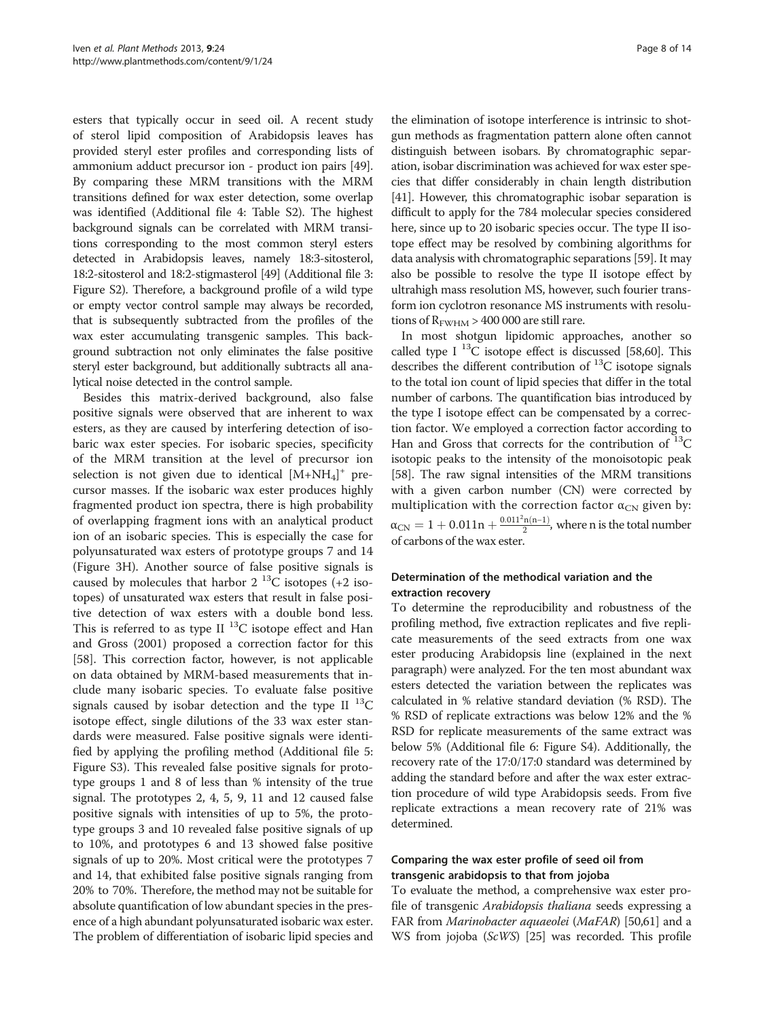esters that typically occur in seed oil. A recent study of sterol lipid composition of Arabidopsis leaves has provided steryl ester profiles and corresponding lists of ammonium adduct precursor ion - product ion pairs [[49](#page-12-0)]. By comparing these MRM transitions with the MRM transitions defined for wax ester detection, some overlap was identified (Additional file [4:](#page-11-0) Table S2). The highest background signals can be correlated with MRM transitions corresponding to the most common steryl esters detected in Arabidopsis leaves, namely 18:3-sitosterol, 18:2-sitosterol and 18:2-stigmasterol [\[49](#page-12-0)] (Additional file [3](#page-11-0): Figure S2). Therefore, a background profile of a wild type or empty vector control sample may always be recorded, that is subsequently subtracted from the profiles of the wax ester accumulating transgenic samples. This background subtraction not only eliminates the false positive steryl ester background, but additionally subtracts all analytical noise detected in the control sample.

Besides this matrix-derived background, also false positive signals were observed that are inherent to wax esters, as they are caused by interfering detection of isobaric wax ester species. For isobaric species, specificity of the MRM transition at the level of precursor ion selection is not given due to identical  $[M+NH_4]^+$  precursor masses. If the isobaric wax ester produces highly fragmented product ion spectra, there is high probability of overlapping fragment ions with an analytical product ion of an isobaric species. This is especially the case for polyunsaturated wax esters of prototype groups 7 and 14 (Figure [3H](#page-4-0)). Another source of false positive signals is caused by molecules that harbor  $2^{13}$ C isotopes (+2 isotopes) of unsaturated wax esters that result in false positive detection of wax esters with a double bond less. This is referred to as type II  $^{13}$ C isotope effect and Han and Gross (2001) proposed a correction factor for this [[58\]](#page-13-0). This correction factor, however, is not applicable on data obtained by MRM-based measurements that include many isobaric species. To evaluate false positive signals caused by isobar detection and the type II  $^{13}C$ isotope effect, single dilutions of the 33 wax ester standards were measured. False positive signals were identified by applying the profiling method (Additional file [5](#page-11-0): Figure S3). This revealed false positive signals for prototype groups 1 and 8 of less than % intensity of the true signal. The prototypes 2, 4, 5, 9, 11 and 12 caused false positive signals with intensities of up to 5%, the prototype groups 3 and 10 revealed false positive signals of up to 10%, and prototypes 6 and 13 showed false positive signals of up to 20%. Most critical were the prototypes 7 and 14, that exhibited false positive signals ranging from 20% to 70%. Therefore, the method may not be suitable for absolute quantification of low abundant species in the presence of a high abundant polyunsaturated isobaric wax ester. The problem of differentiation of isobaric lipid species and

the elimination of isotope interference is intrinsic to shotgun methods as fragmentation pattern alone often cannot distinguish between isobars. By chromatographic separation, isobar discrimination was achieved for wax ester species that differ considerably in chain length distribution [[41](#page-12-0)]. However, this chromatographic isobar separation is difficult to apply for the 784 molecular species considered here, since up to 20 isobaric species occur. The type II isotope effect may be resolved by combining algorithms for data analysis with chromatographic separations [[59](#page-13-0)]. It may also be possible to resolve the type II isotope effect by ultrahigh mass resolution MS, however, such fourier transform ion cyclotron resonance MS instruments with resolutions of  $R_{\text{FWHM}} > 400 000$  are still rare.

In most shotgun lipidomic approaches, another so called type I  $^{13}$ C isotope effect is discussed [\[58,60\]](#page-13-0). This describes the different contribution of  $^{13}$ C isotope signals to the total ion count of lipid species that differ in the total number of carbons. The quantification bias introduced by the type I isotope effect can be compensated by a correction factor. We employed a correction factor according to Han and Gross that corrects for the contribution of  ${}^{13}C$ isotopic peaks to the intensity of the monoisotopic peak [[58](#page-13-0)]. The raw signal intensities of the MRM transitions with a given carbon number (CN) were corrected by multiplication with the correction factor  $\alpha_{CN}$  given by:  $\alpha_{\rm CN}=1+0.011$ n  $+\frac{0.011^2n(n-1)}{2}$ , where n is the total number of carbons of the wax ester.

# Determination of the methodical variation and the extraction recovery

To determine the reproducibility and robustness of the profiling method, five extraction replicates and five replicate measurements of the seed extracts from one wax ester producing Arabidopsis line (explained in the next paragraph) were analyzed. For the ten most abundant wax esters detected the variation between the replicates was calculated in % relative standard deviation (% RSD). The % RSD of replicate extractions was below 12% and the % RSD for replicate measurements of the same extract was below 5% (Additional file [6](#page-11-0): Figure S4). Additionally, the recovery rate of the 17:0/17:0 standard was determined by adding the standard before and after the wax ester extraction procedure of wild type Arabidopsis seeds. From five replicate extractions a mean recovery rate of 21% was determined.

# Comparing the wax ester profile of seed oil from transgenic arabidopsis to that from jojoba

To evaluate the method, a comprehensive wax ester profile of transgenic Arabidopsis thaliana seeds expressing a FAR from Marinobacter aquaeolei (MaFAR) [\[50,](#page-12-0)[61\]](#page-13-0) and a WS from jojoba (ScWS) [\[25](#page-12-0)] was recorded. This profile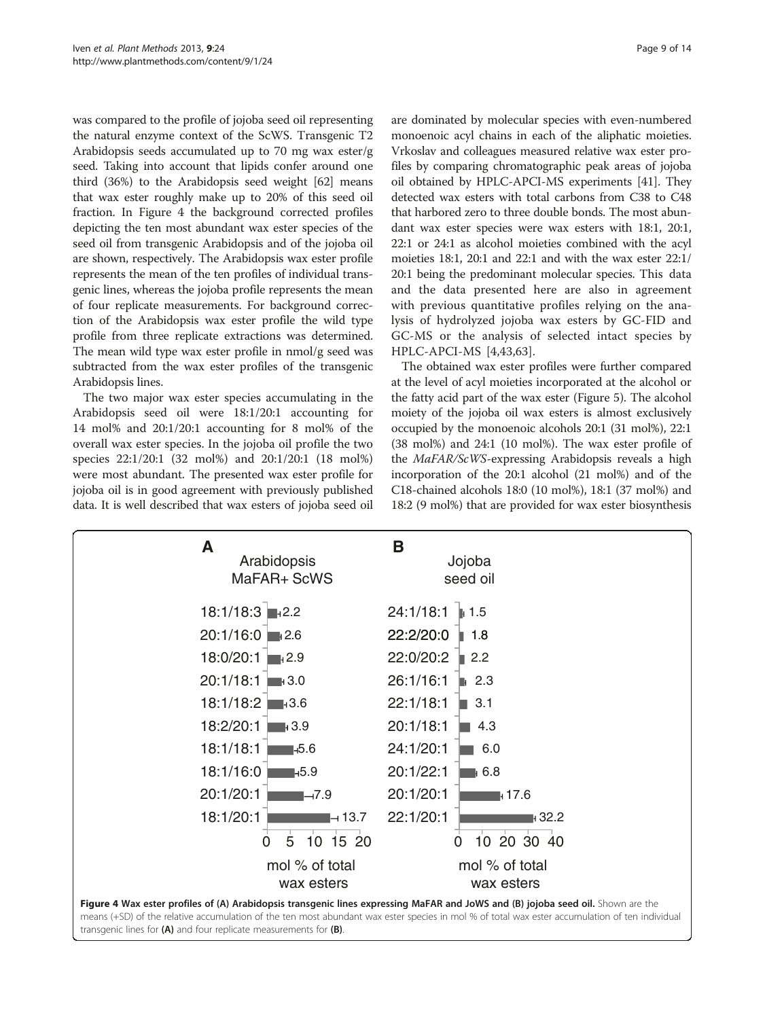was compared to the profile of jojoba seed oil representing the natural enzyme context of the ScWS. Transgenic T2 Arabidopsis seeds accumulated up to 70 mg wax ester/g seed. Taking into account that lipids confer around one third (36%) to the Arabidopsis seed weight [\[62\]](#page-13-0) means that wax ester roughly make up to 20% of this seed oil fraction. In Figure 4 the background corrected profiles depicting the ten most abundant wax ester species of the seed oil from transgenic Arabidopsis and of the jojoba oil are shown, respectively. The Arabidopsis wax ester profile represents the mean of the ten profiles of individual transgenic lines, whereas the jojoba profile represents the mean of four replicate measurements. For background correction of the Arabidopsis wax ester profile the wild type profile from three replicate extractions was determined. The mean wild type wax ester profile in nmol/g seed was subtracted from the wax ester profiles of the transgenic Arabidopsis lines.

The two major wax ester species accumulating in the Arabidopsis seed oil were 18:1/20:1 accounting for 14 mol% and 20:1/20:1 accounting for 8 mol% of the overall wax ester species. In the jojoba oil profile the two species 22:1/20:1 (32 mol%) and 20:1/20:1 (18 mol%) were most abundant. The presented wax ester profile for jojoba oil is in good agreement with previously published data. It is well described that wax esters of jojoba seed oil

are dominated by molecular species with even-numbered monoenoic acyl chains in each of the aliphatic moieties. Vrkoslav and colleagues measured relative wax ester profiles by comparing chromatographic peak areas of jojoba oil obtained by HPLC-APCI-MS experiments [\[41](#page-12-0)]. They detected wax esters with total carbons from C38 to C48 that harbored zero to three double bonds. The most abundant wax ester species were wax esters with 18:1, 20:1, 22:1 or 24:1 as alcohol moieties combined with the acyl moieties 18:1, 20:1 and 22:1 and with the wax ester 22:1/ 20:1 being the predominant molecular species. This data and the data presented here are also in agreement with previous quantitative profiles relying on the analysis of hydrolyzed jojoba wax esters by GC-FID and GC-MS or the analysis of selected intact species by HPLC-APCI-MS [[4](#page-11-0)[,43](#page-12-0)[,63](#page-13-0)].

The obtained wax ester profiles were further compared at the level of acyl moieties incorporated at the alcohol or the fatty acid part of the wax ester (Figure [5\)](#page-9-0). The alcohol moiety of the jojoba oil wax esters is almost exclusively occupied by the monoenoic alcohols 20:1 (31 mol%), 22:1 (38 mol%) and 24:1 (10 mol%). The wax ester profile of the MaFAR/ScWS-expressing Arabidopsis reveals a high incorporation of the 20:1 alcohol (21 mol%) and of the C18-chained alcohols 18:0 (10 mol%), 18:1 (37 mol%) and 18:2 (9 mol%) that are provided for wax ester biosynthesis

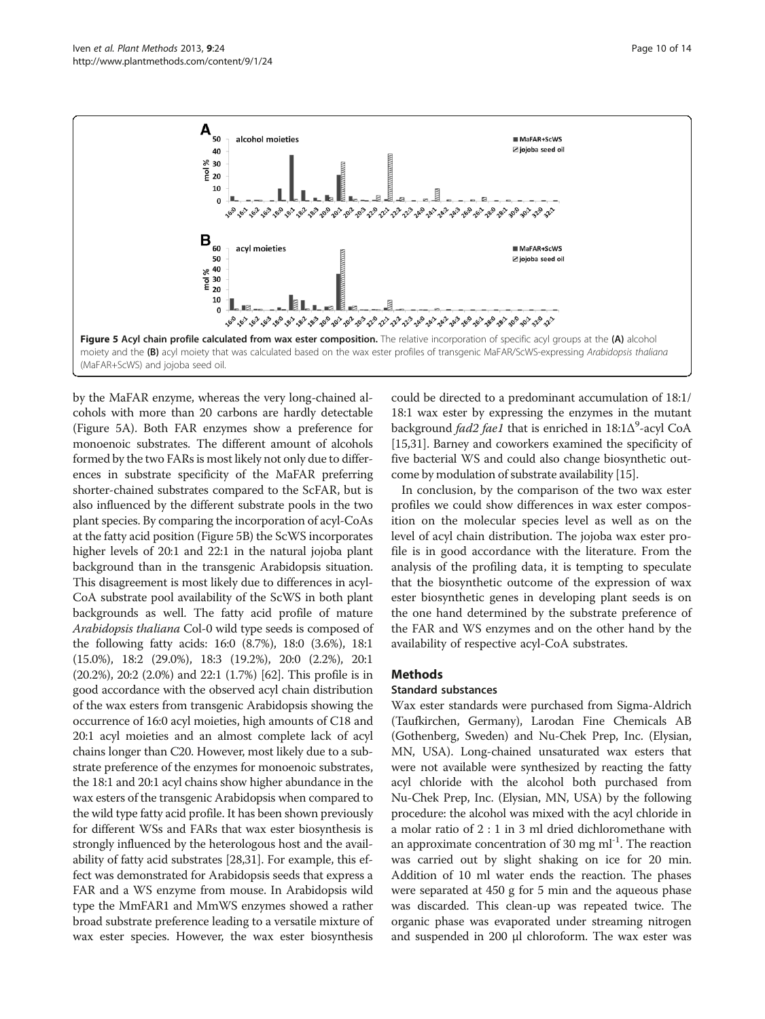<span id="page-9-0"></span>

by the MaFAR enzyme, whereas the very long-chained alcohols with more than 20 carbons are hardly detectable (Figure 5A). Both FAR enzymes show a preference for monoenoic substrates. The different amount of alcohols formed by the two FARs is most likely not only due to differences in substrate specificity of the MaFAR preferring shorter-chained substrates compared to the ScFAR, but is also influenced by the different substrate pools in the two plant species. By comparing the incorporation of acyl-CoAs at the fatty acid position (Figure 5B) the ScWS incorporates higher levels of 20:1 and 22:1 in the natural jojoba plant background than in the transgenic Arabidopsis situation. This disagreement is most likely due to differences in acyl-CoA substrate pool availability of the ScWS in both plant backgrounds as well. The fatty acid profile of mature Arabidopsis thaliana Col-0 wild type seeds is composed of the following fatty acids: 16:0 (8.7%), 18:0 (3.6%), 18:1 (15.0%), 18:2 (29.0%), 18:3 (19.2%), 20:0 (2.2%), 20:1 (20.2%), 20:2 (2.0%) and 22:1 (1.7%) [\[62\]](#page-13-0). This profile is in good accordance with the observed acyl chain distribution of the wax esters from transgenic Arabidopsis showing the occurrence of 16:0 acyl moieties, high amounts of C18 and 20:1 acyl moieties and an almost complete lack of acyl chains longer than C20. However, most likely due to a substrate preference of the enzymes for monoenoic substrates, the 18:1 and 20:1 acyl chains show higher abundance in the wax esters of the transgenic Arabidopsis when compared to the wild type fatty acid profile. It has been shown previously for different WSs and FARs that wax ester biosynthesis is strongly influenced by the heterologous host and the availability of fatty acid substrates [\[28,31](#page-12-0)]. For example, this effect was demonstrated for Arabidopsis seeds that express a FAR and a WS enzyme from mouse. In Arabidopsis wild type the MmFAR1 and MmWS enzymes showed a rather broad substrate preference leading to a versatile mixture of wax ester species. However, the wax ester biosynthesis

could be directed to a predominant accumulation of 18:1/ 18:1 wax ester by expressing the enzymes in the mutant background fad2 fae1 that is enriched in 18:1Δ<sup>9</sup>-acyl CoA [[15](#page-12-0),[31](#page-12-0)]. Barney and coworkers examined the specificity of five bacterial WS and could also change biosynthetic outcome by modulation of substrate availability [[15](#page-12-0)].

In conclusion, by the comparison of the two wax ester profiles we could show differences in wax ester composition on the molecular species level as well as on the level of acyl chain distribution. The jojoba wax ester profile is in good accordance with the literature. From the analysis of the profiling data, it is tempting to speculate that the biosynthetic outcome of the expression of wax ester biosynthetic genes in developing plant seeds is on the one hand determined by the substrate preference of the FAR and WS enzymes and on the other hand by the availability of respective acyl-CoA substrates.

#### Methods

#### Standard substances

Wax ester standards were purchased from Sigma-Aldrich (Taufkirchen, Germany), Larodan Fine Chemicals AB (Gothenberg, Sweden) and Nu-Chek Prep, Inc. (Elysian, MN, USA). Long-chained unsaturated wax esters that were not available were synthesized by reacting the fatty acyl chloride with the alcohol both purchased from Nu-Chek Prep, Inc. (Elysian, MN, USA) by the following procedure: the alcohol was mixed with the acyl chloride in a molar ratio of 2 : 1 in 3 ml dried dichloromethane with an approximate concentration of 30 mg  $ml<sup>-1</sup>$ . The reaction was carried out by slight shaking on ice for 20 min. Addition of 10 ml water ends the reaction. The phases were separated at 450 g for 5 min and the aqueous phase was discarded. This clean-up was repeated twice. The organic phase was evaporated under streaming nitrogen and suspended in 200 μl chloroform. The wax ester was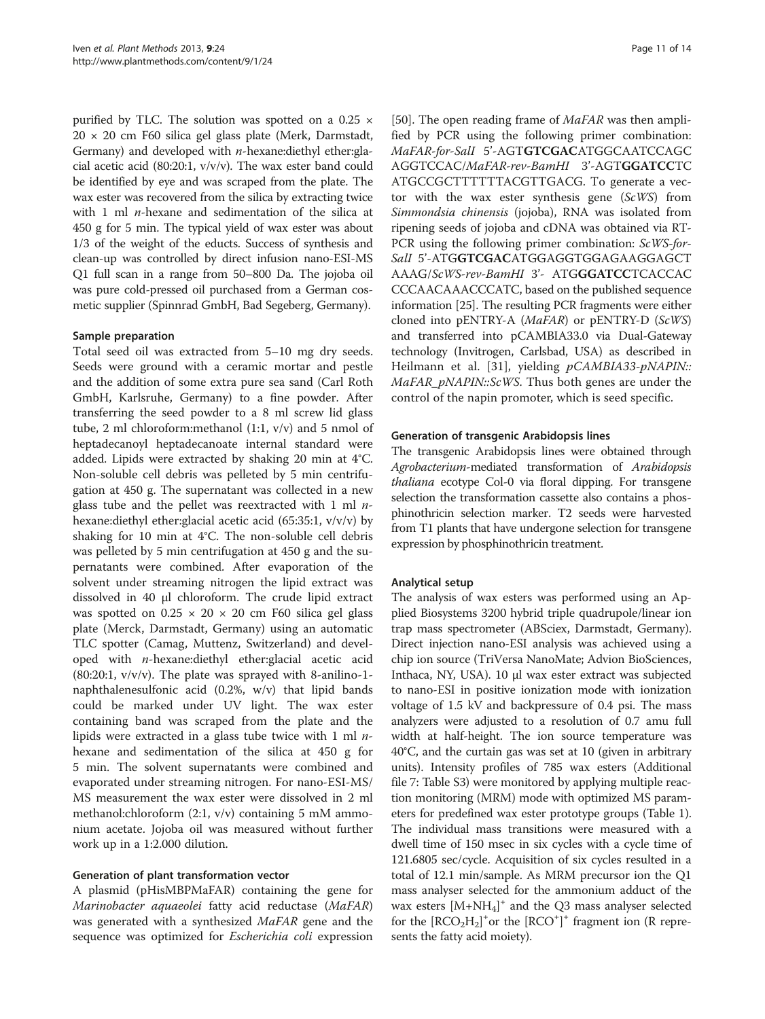purified by TLC. The solution was spotted on a 0.25  $\times$  $20 \times 20$  cm F60 silica gel glass plate (Merk, Darmstadt, Germany) and developed with  $n$ -hexane:diethyl ether:glacial acetic acid (80:20:1, v/v/v). The wax ester band could be identified by eye and was scraped from the plate. The wax ester was recovered from the silica by extracting twice with 1 ml  $n$ -hexane and sedimentation of the silica at 450 g for 5 min. The typical yield of wax ester was about 1/3 of the weight of the educts. Success of synthesis and clean-up was controlled by direct infusion nano-ESI-MS Q1 full scan in a range from 50–800 Da. The jojoba oil was pure cold-pressed oil purchased from a German cosmetic supplier (Spinnrad GmbH, Bad Segeberg, Germany).

#### Sample preparation

Total seed oil was extracted from 5–10 mg dry seeds. Seeds were ground with a ceramic mortar and pestle and the addition of some extra pure sea sand (Carl Roth GmbH, Karlsruhe, Germany) to a fine powder. After transferring the seed powder to a 8 ml screw lid glass tube, 2 ml chloroform:methanol (1:1, v/v) and 5 nmol of heptadecanoyl heptadecanoate internal standard were added. Lipids were extracted by shaking 20 min at 4°C. Non-soluble cell debris was pelleted by 5 min centrifugation at 450 g. The supernatant was collected in a new glass tube and the pellet was reextracted with 1 ml  $n$ hexane:diethyl ether:glacial acetic acid (65:35:1, v/v/v) by shaking for 10 min at 4°C. The non-soluble cell debris was pelleted by 5 min centrifugation at 450 g and the supernatants were combined. After evaporation of the solvent under streaming nitrogen the lipid extract was dissolved in 40 μl chloroform. The crude lipid extract was spotted on  $0.25 \times 20 \times 20$  cm F60 silica gel glass plate (Merck, Darmstadt, Germany) using an automatic TLC spotter (Camag, Muttenz, Switzerland) and developed with n-hexane:diethyl ether:glacial acetic acid  $(80:20:1, v/v/v)$ . The plate was sprayed with 8-anilino-1naphthalenesulfonic acid (0.2%, w/v) that lipid bands could be marked under UV light. The wax ester containing band was scraped from the plate and the lipids were extracted in a glass tube twice with 1 ml  $n$ hexane and sedimentation of the silica at 450 g for 5 min. The solvent supernatants were combined and evaporated under streaming nitrogen. For nano-ESI-MS/ MS measurement the wax ester were dissolved in 2 ml methanol:chloroform (2:1, v/v) containing 5 mM ammonium acetate. Jojoba oil was measured without further work up in a 1:2.000 dilution.

#### Generation of plant transformation vector

A plasmid (pHisMBPMaFAR) containing the gene for Marinobacter aquaeolei fatty acid reductase (MaFAR) was generated with a synthesized MaFAR gene and the sequence was optimized for Escherichia coli expression

[[50\]](#page-12-0). The open reading frame of  $MaFAR$  was then amplified by PCR using the following primer combination: MaFAR-for-SalI 5'-AGTGTCGACATGGCAATCCAGC AGGTCCAC/MaFAR-rev-BamHI 3'-AGTGGATCCTC ATGCCGCTTTTTTACGTTGACG. To generate a vector with the wax ester synthesis gene  $(ScWS)$  from Simmondsia chinensis (jojoba), RNA was isolated from ripening seeds of jojoba and cDNA was obtained via RT-PCR using the following primer combination: ScWS-for-SalI 5'-ATGGTCGACATGGAGGTGGAGAAGGAGCT AAAG/ScWS-rev-BamHI 3'- ATGGGATCCTCACCAC CCCAACAAACCCATC, based on the published sequence information [[25](#page-12-0)]. The resulting PCR fragments were either cloned into pENTRY-A (MaFAR) or pENTRY-D (ScWS) and transferred into pCAMBIA33.0 via Dual-Gateway technology (Invitrogen, Carlsbad, USA) as described in Heilmann et al. [[31](#page-12-0)], yielding pCAMBIA33-pNAPIN:: MaFAR\_pNAPIN::ScWS. Thus both genes are under the control of the napin promoter, which is seed specific.

### Generation of transgenic Arabidopsis lines

The transgenic Arabidopsis lines were obtained through Agrobacterium-mediated transformation of Arabidopsis thaliana ecotype Col-0 via floral dipping. For transgene selection the transformation cassette also contains a phosphinothricin selection marker. T2 seeds were harvested from T1 plants that have undergone selection for transgene expression by phosphinothricin treatment.

# Analytical setup

The analysis of wax esters was performed using an Applied Biosystems 3200 hybrid triple quadrupole/linear ion trap mass spectrometer (ABSciex, Darmstadt, Germany). Direct injection nano-ESI analysis was achieved using a chip ion source (TriVersa NanoMate; Advion BioSciences, Inthaca, NY, USA). 10 μl wax ester extract was subjected to nano-ESI in positive ionization mode with ionization voltage of 1.5 kV and backpressure of 0.4 psi. The mass analyzers were adjusted to a resolution of 0.7 amu full width at half-height. The ion source temperature was 40°C, and the curtain gas was set at 10 (given in arbitrary units). Intensity profiles of 785 wax esters (Additional file [7](#page-11-0): Table S3) were monitored by applying multiple reaction monitoring (MRM) mode with optimized MS parameters for predefined wax ester prototype groups (Table [1](#page-6-0)). The individual mass transitions were measured with a dwell time of 150 msec in six cycles with a cycle time of 121.6805 sec/cycle. Acquisition of six cycles resulted in a total of 12.1 min/sample. As MRM precursor ion the Q1 mass analyser selected for the ammonium adduct of the wax esters [M+NH4] <sup>+</sup> and the Q3 mass analyser selected for the  $[RCO<sub>2</sub>H<sub>2</sub>]<sup>+</sup>$  or the  $[RCO<sup>+</sup>]<sup>+</sup>$  fragment ion (R represents the fatty acid moiety).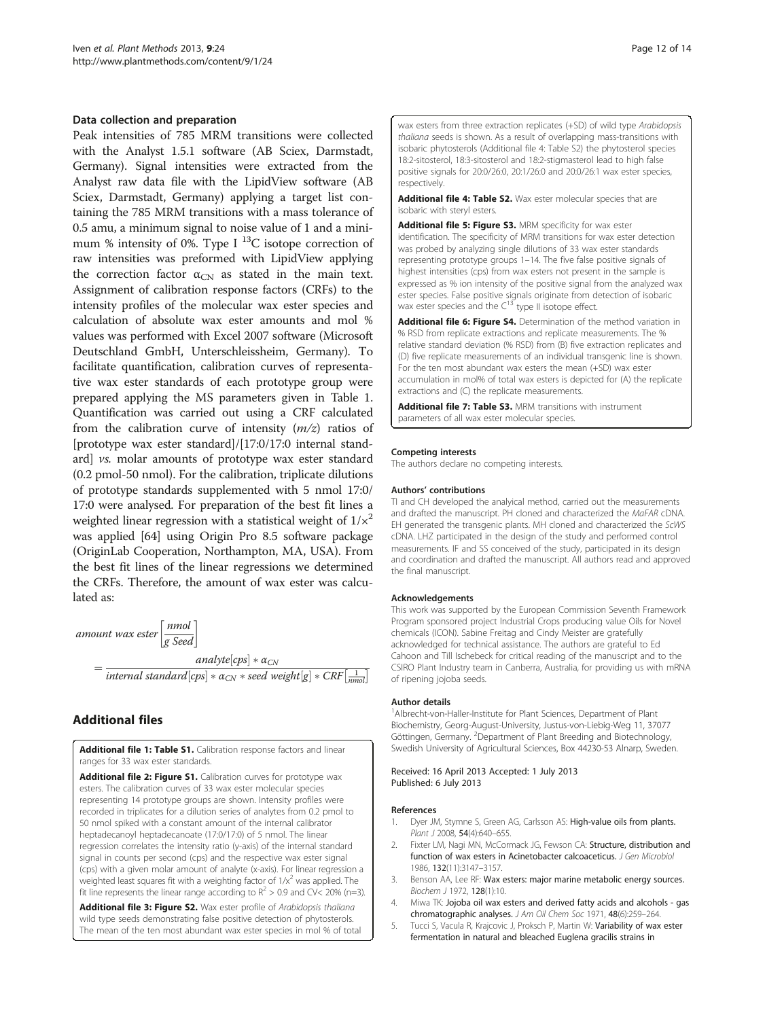#### <span id="page-11-0"></span>Data collection and preparation

Peak intensities of 785 MRM transitions were collected with the Analyst 1.5.1 software (AB Sciex, Darmstadt, Germany). Signal intensities were extracted from the Analyst raw data file with the LipidView software (AB Sciex, Darmstadt, Germany) applying a target list containing the 785 MRM transitions with a mass tolerance of 0.5 amu, a minimum signal to noise value of 1 and a minimum % intensity of 0%. Type I  $^{13}$ C isotope correction of raw intensities was preformed with LipidView applying the correction factor  $\alpha_{CN}$  as stated in the main text. Assignment of calibration response factors (CRFs) to the intensity profiles of the molecular wax ester species and calculation of absolute wax ester amounts and mol % values was performed with Excel 2007 software (Microsoft Deutschland GmbH, Unterschleissheim, Germany). To facilitate quantification, calibration curves of representative wax ester standards of each prototype group were prepared applying the MS parameters given in Table [1](#page-6-0). Quantification was carried out using a CRF calculated from the calibration curve of intensity  $(m/z)$  ratios of [prototype wax ester standard]/[17:0/17:0 internal standard] vs. molar amounts of prototype wax ester standard (0.2 pmol-50 nmol). For the calibration, triplicate dilutions of prototype standards supplemented with 5 nmol 17:0/ 17:0 were analysed. For preparation of the best fit lines a weighted linear regression with a statistical weight of  $1/x^2$ was applied [\[64](#page-13-0)] using Origin Pro 8.5 software package (OriginLab Cooperation, Northampton, MA, USA). From the best fit lines of the linear regressions we determined the CRFs. Therefore, the amount of wax ester was calculated as:

amount wax ester  $\left[\frac{nmol}{g\text{Seed}}\right]$  $=\frac{analyte[cps]*a_{CN}}{internal\ standard[cps]*a_{CN}*seed\ weight[g]*CRF[\frac{1}{mmol}]}$ analyte  $[cps] * \alpha_{CN}$ 

# Additional files

[Additional file 1: Table S1.](http://www.biomedcentral.com/content/supplementary/1746-4811-9-24-S1.pdf) Calibration response factors and linear ranges for 33 wax ester standards.

[Additional file 2: Figure S1.](http://www.biomedcentral.com/content/supplementary/1746-4811-9-24-S2.pdf) Calibration curves for prototype wax esters. The calibration curves of 33 wax ester molecular species representing 14 prototype groups are shown. Intensity profiles were recorded in triplicates for a dilution series of analytes from 0.2 pmol to 50 nmol spiked with a constant amount of the internal calibrator heptadecanoyl heptadecanoate (17:0/17:0) of 5 nmol. The linear regression correlates the intensity ratio (y-axis) of the internal standard signal in counts per second (cps) and the respective wax ester signal (cps) with a given molar amount of analyte (x-axis). For linear regression a weighted least squares fit with a weighting factor of  $1/x^2$  was applied. The fit line represents the linear range according to  $R^2 > 0.9$  and CV< 20% (n=3).

[Additional file 3: Figure S2.](http://www.biomedcentral.com/content/supplementary/1746-4811-9-24-S3.pdf) Wax ester profile of Arabidopsis thaliana wild type seeds demonstrating false positive detection of phytosterols. The mean of the ten most abundant wax ester species in mol % of total wax esters from three extraction replicates (+SD) of wild type Arabidopsis thaliana seeds is shown. As a result of overlapping mass-transitions with isobaric phytosterols (Additional file 4: Table S2) the phytosterol species 18:2-sitosterol, 18:3-sitosterol and 18:2-stigmasterol lead to high false positive signals for 20:0/26:0, 20:1/26:0 and 20:0/26:1 wax ester species, respectively.

[Additional file 4: Table S2.](http://www.biomedcentral.com/content/supplementary/1746-4811-9-24-S4.pdf) Wax ester molecular species that are isobaric with steryl esters.

[Additional file 5: Figure S3.](http://www.biomedcentral.com/content/supplementary/1746-4811-9-24-S5.pdf) MRM specificity for wax ester identification. The specificity of MRM transitions for wax ester detection was probed by analyzing single dilutions of 33 wax ester standards representing prototype groups 1–14. The five false positive signals of highest intensities (cps) from wax esters not present in the sample is expressed as % ion intensity of the positive signal from the analyzed wax ester species. False positive signals originate from detection of isobaric wax ester species and the  $C^{13}$  type II isotope effect.

[Additional file 6: Figure S4.](http://www.biomedcentral.com/content/supplementary/1746-4811-9-24-S6.pdf) Determination of the method variation in % RSD from replicate extractions and replicate measurements. The % relative standard deviation (% RSD) from (B) five extraction replicates and (D) five replicate measurements of an individual transgenic line is shown. For the ten most abundant wax esters the mean (+SD) wax ester accumulation in mol% of total wax esters is depicted for (A) the replicate extractions and (C) the replicate measurements.

[Additional file 7: Table S3.](http://www.biomedcentral.com/content/supplementary/1746-4811-9-24-S7.xlsx) MRM transitions with instrument parameters of all wax ester molecular species.

#### Competing interests

The authors declare no competing interests.

#### Authors' contributions

TI and CH developed the analyical method, carried out the measurements and drafted the manuscript. PH cloned and characterized the MaFAR cDNA. EH generated the transgenic plants. MH cloned and characterized the ScWS cDNA. LHZ participated in the design of the study and performed control measurements. IF and SS conceived of the study, participated in its design and coordination and drafted the manuscript. All authors read and approved the final manuscript.

#### Acknowledgements

This work was supported by the European Commission Seventh Framework Program sponsored project Industrial Crops producing value Oils for Novel chemicals (ICON). Sabine Freitag and Cindy Meister are gratefully acknowledged for technical assistance. The authors are grateful to Ed Cahoon and Till Ischebeck for critical reading of the manuscript and to the CSIRO Plant Industry team in Canberra, Australia, for providing us with mRNA of ripening jojoba seeds.

#### Author details

<sup>1</sup> Albrecht-von-Haller-Institute for Plant Sciences, Department of Plant Biochemistry, Georg-August-University, Justus-von-Liebig-Weg 11, 37077 Göttingen, Germany. <sup>2</sup>Department of Plant Breeding and Biotechnology Swedish University of Agricultural Sciences, Box 44230-53 Alnarp, Sweden.

Received: 16 April 2013 Accepted: 1 July 2013 Published: 6 July 2013

#### References

- 1. Dyer JM, Stymne S, Green AG, Carlsson AS: High-value oils from plants. Plant J 2008, 54(4):640-655.
- 2. Fixter LM, Nagi MN, McCormack JG, Fewson CA: Structure, distribution and function of wax esters in Acinetobacter calcoaceticus. J Gen Microbiol 1986, 132(11):3147–3157.
- 3. Benson AA, Lee RF: Wax esters: major marine metabolic energy sources. Biochem J 1972, 128(1):10.
- Miwa TK: Jojoba oil wax esters and derived fatty acids and alcohols gas chromatographic analyses. J Am Oil Chem Soc 1971, 48(6):259–264.
- 5. Tucci S, Vacula R, Krajcovic J, Proksch P, Martin W: Variability of wax ester fermentation in natural and bleached Euglena gracilis strains in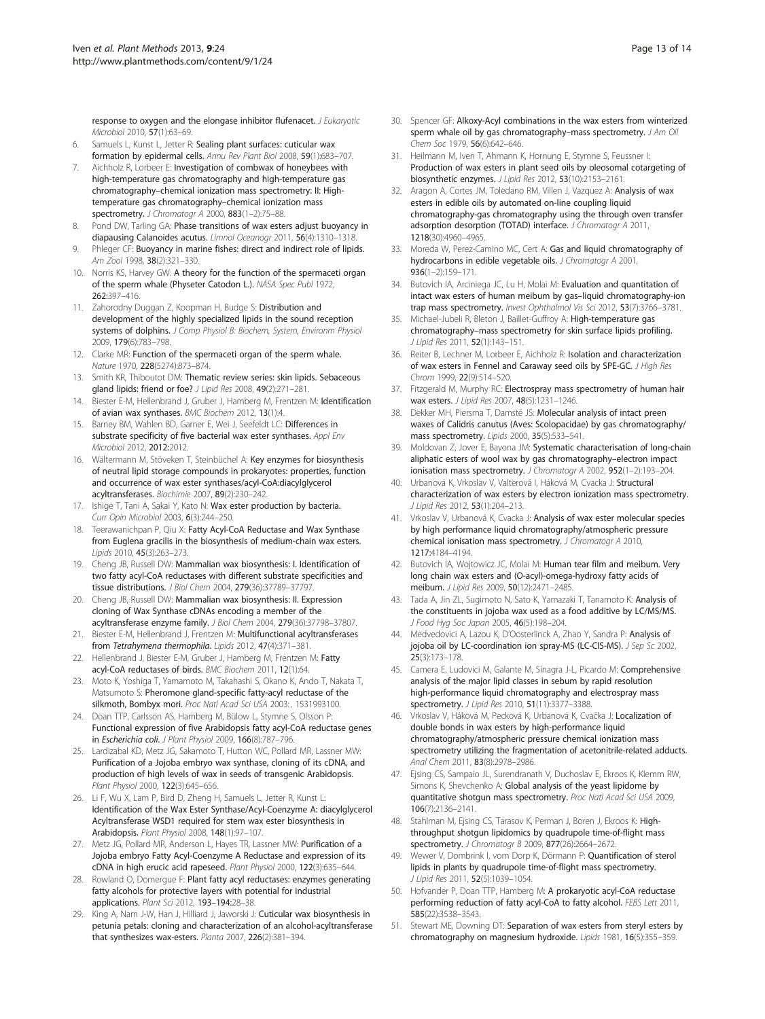<span id="page-12-0"></span>response to oxygen and the elongase inhibitor flufenacet. J Eukaryotic Microbiol 2010, 57(1):63–69.

- 6. Samuels L, Kunst L, Jetter R: Sealing plant surfaces: cuticular wax formation by epidermal cells. Annu Rev Plant Biol 2008, 59(1):683–707.
- 7. Aichholz R, Lorbeer E: Investigation of combwax of honeybees with high-temperature gas chromatography and high-temperature gas chromatography–chemical ionization mass spectrometry: II: Hightemperature gas chromatography–chemical ionization mass spectrometry. J Chromatogr A 2000, 883(1-2):75-88.
- 8. Pond DW, Tarling GA: Phase transitions of wax esters adjust buoyancy in diapausing Calanoides acutus. Limnol Oceanogr 2011, 56(4):1310–1318.
- 9. Phleger CF: Buoyancy in marine fishes: direct and indirect role of lipids. Am Zool 1998, 38(2):321–330.
- 10. Norris KS, Harvey GW: A theory for the function of the spermaceti organ of the sperm whale (Physeter Catodon L.). NASA Spec Publ 1972, 262:397–416.
- 11. Zahorodny Duggan Z, Koopman H, Budge S: Distribution and development of the highly specialized lipids in the sound reception systems of dolphins. J Comp Physiol B: Biochem, System, Environm Physiol 2009, 179(6):783–798.
- 12. Clarke MR: Function of the spermaceti organ of the sperm whale. Nature 1970, 228(5274):873–874.
- 13. Smith KR, Thiboutot DM: Thematic review series: skin lipids. Sebaceous gland lipids: friend or foe? J Lipid Res 2008, 49(2):271-281.
- 14. Biester E-M, Hellenbrand J, Gruber J, Hamberg M, Frentzen M: Identification of avian wax synthases. BMC Biochem 2012, 13(1):4.
- 15. Barney BM, Wahlen BD, Garner E, Wei J, Seefeldt LC: Differences in substrate specificity of five bacterial wax ester synthases. Appl Env Microbiol 2012, 2012:2012.
- 16. Wältermann M, Stöveken T, Steinbüchel A: Key enzymes for biosynthesis of neutral lipid storage compounds in prokaryotes: properties, function and occurrence of wax ester synthases/acyl-CoA:diacylglycerol acyltransferases. Biochimie 2007, 89(2):230–242.
- 17. Ishige T, Tani A, Sakai Y, Kato N: Wax ester production by bacteria. Curr Opin Microbiol 2003, 6(3):244–250.
- 18. Teerawanichpan P, Qiu X: Fatty Acyl-CoA Reductase and Wax Synthase from Euglena gracilis in the biosynthesis of medium-chain wax esters. Lipids 2010, 45(3):263–273.
- 19. Cheng JB, Russell DW: Mammalian wax biosynthesis: I. Identification of two fatty acyl-CoA reductases with different substrate specificities and tissue distributions. J Biol Chem 2004, 279(36):37789–37797.
- 20. Cheng JB, Russell DW: Mammalian wax biosynthesis: II. Expression cloning of Wax Synthase cDNAs encoding a member of the acyltransferase enzyme family. J Biol Chem 2004, 279(36):37798–37807.
- 21. Biester E-M, Hellenbrand J, Frentzen M: Multifunctional acyltransferases from Tetrahymena thermophila. Lipids 2012, 47(4):371–381.
- 22. Hellenbrand J, Biester E-M, Gruber J, Hamberg M, Frentzen M: Fatty acyl-CoA reductases of birds. BMC Biochem 2011, 12(1):64.
- 23. Moto K, Yoshiga T, Yamamoto M, Takahashi S, Okano K, Ando T, Nakata T, Matsumoto S: Pheromone gland-specific fatty-acyl reductase of the silkmoth, Bombyx mori. Proc Natl Acad Sci USA 2003: . 1531993100.
- 24. Doan TTP, Carlsson AS, Hamberg M, Bülow L, Stymne S, Olsson P: Functional expression of five Arabidopsis fatty acyl-CoA reductase genes in Escherichia coli. J Plant Physiol 2009, 166(8):787–796.
- 25. Lardizabal KD, Metz JG, Sakamoto T, Hutton WC, Pollard MR, Lassner MW: Purification of a Jojoba embryo wax synthase, cloning of its cDNA, and production of high levels of wax in seeds of transgenic Arabidopsis. Plant Physiol 2000, 122(3):645–656.
- 26. Li F, Wu X, Lam P, Bird D, Zheng H, Samuels L, Jetter R, Kunst L: Identification of the Wax Ester Synthase/Acyl-Coenzyme A: diacylglycerol Acyltransferase WSD1 required for stem wax ester biosynthesis in Arabidopsis. Plant Physiol 2008, 148(1):97–107.
- 27. Metz JG, Pollard MR, Anderson L, Hayes TR, Lassner MW: Purification of a Jojoba embryo Fatty Acyl-Coenzyme A Reductase and expression of its cDNA in high erucic acid rapeseed. Plant Physiol 2000, 122(3):635–644.
- 28. Rowland O, Domergue F: Plant fatty acyl reductases: enzymes generating fatty alcohols for protective layers with potential for industrial applications. Plant Sci 2012, 193–194:28–38.
- 29. King A, Nam J-W, Han J, Hilliard J, Jaworski J: Cuticular wax biosynthesis in petunia petals: cloning and characterization of an alcohol-acyltransferase that synthesizes wax-esters. Planta 2007, 226(2):381–394.
- 30. Spencer GF: Alkoxy-Acyl combinations in the wax esters from winterized sperm whale oil by gas chromatography-mass spectrometry. J Am Oil Chem Soc 1979, 56(6):642–646.
- 31. Heilmann M, Iven T, Ahmann K, Hornung E, Stymne S, Feussner I: Production of wax esters in plant seed oils by oleosomal cotargeting of biosynthetic enzymes. J Lipid Res 2012, 53(10):2153–2161.
- 32. Aragon A, Cortes JM, Toledano RM, Villen J, Vazquez A: Analysis of wax esters in edible oils by automated on-line coupling liquid chromatography-gas chromatography using the through oven transfer adsorption desorption (TOTAD) interface. J Chromatogr A 2011, 1218(30):4960–4965.
- 33. Moreda W, Perez-Camino MC, Cert A: Gas and liquid chromatography of hydrocarbons in edible vegetable oils. J Chromatogr A 2001, 936(1–2):159–171.
- Butovich IA, Arciniega JC, Lu H, Molai M: Evaluation and quantitation of intact wax esters of human meibum by gas–liquid chromatography-ion trap mass spectrometry. Invest Ophthalmol Vis Sci 2012, 53(7):3766–3781.
- 35. Michael-Jubeli R, Bleton J, Baillet-Guffroy A: High-temperature gas chromatography–mass spectrometry for skin surface lipids profiling. J Lipid Res 2011, 52(1):143–151.
- 36. Reiter B, Lechner M, Lorbeer E, Aichholz R: Isolation and characterization of wax esters in Fennel and Caraway seed oils by SPE-GC. J High Res Chrom 1999, 22(9):514–520.
- 37. Fitzgerald M, Murphy RC: Electrospray mass spectrometry of human hair wax esters. J Lipid Res 2007, 48(5):1231–1246.
- 38. Dekker MH, Piersma T, Damsté JS: Molecular analysis of intact preen waxes of Calidris canutus (Aves: Scolopacidae) by gas chromatography/ mass spectrometry. Lipids 2000, 35(5):533–541.
- Moldovan Z, Jover E, Bayona JM: Systematic characterisation of long-chain aliphatic esters of wool wax by gas chromatography–electron impact ionisation mass spectrometry. J Chromatogr A 2002, 952(1-2):193-204.
- 40. Urbanová K, Vrkoslav V, Valterová I, Háková M, Cvacka J: Structural characterization of wax esters by electron ionization mass spectrometry. J Lipid Res 2012, 53(1):204–213.
- 41. Vrkoslav V, Urbanová K, Cvacka J: Analysis of wax ester molecular species by high performance liquid chromatography/atmospheric pressure chemical ionisation mass spectrometry. J Chromatogr A 2010, 1217:4184–4194.
- 42. Butovich IA, Wojtowicz JC, Molai M: Human tear film and meibum. Very long chain wax esters and (O-acyl)-omega-hydroxy fatty acids of meibum. J Lipid Res 2009, 50(12):2471–2485.
- 43. Tada A, Jin ZL, Sugimoto N, Sato K, Yamazaki T, Tanamoto K: Analysis of the constituents in jojoba wax used as a food additive by LC/MS/MS. J Food Hyg Soc Japan 2005, 46(5):198-204.
- 44. Medvedovici A, Lazou K, D'Oosterlinck A, Zhao Y, Sandra P: Analysis of jojoba oil by LC-coordination ion spray-MS (LC-CIS-MS). J Sep Sc 2002, 25(3):173–178.
- 45. Camera E, Ludovici M, Galante M, Sinagra J-L, Picardo M: Comprehensive analysis of the major lipid classes in sebum by rapid resolution high-performance liquid chromatography and electrospray mass spectrometry. J Lipid Res 2010, 51(11):3377–3388.
- 46. Vrkoslav V, Háková M, Pecková K, Urbanová K, Cvačka J: Localization of double bonds in wax esters by high-performance liquid chromatography/atmospheric pressure chemical ionization mass spectrometry utilizing the fragmentation of acetonitrile-related adducts. Anal Chem 2011, 83(8):2978–2986.
- 47. Ejsing CS, Sampaio JL, Surendranath V, Duchoslav E, Ekroos K, Klemm RW, Simons K, Shevchenko A: Global analysis of the yeast lipidome by quantitative shotgun mass spectrometry. Proc Natl Acad Sci USA 2009, 106(7):2136–2141.
- 48. Stahlman M, Ejsing CS, Tarasov K, Perman J, Boren J, Ekroos K: Highthroughput shotgun lipidomics by quadrupole time-of-flight mass spectrometry. J Chromatogr B 2009, 877(26):2664–2672.
- 49. Wewer V, Dombrink I, vom Dorp K, Dörmann P: Quantification of sterol lipids in plants by quadrupole time-of-flight mass spectrometry. J Lipid Res 2011, 52(5):1039–1054.
- 50. Hofvander P, Doan TTP, Hamberg M: A prokaryotic acyl-CoA reductase performing reduction of fatty acyl-CoA to fatty alcohol. FEBS Lett 2011, 585(22):3538–3543.
- 51. Stewart ME, Downing DT: Separation of wax esters from steryl esters by chromatography on magnesium hydroxide. Lipids 1981, 16(5):355–359.